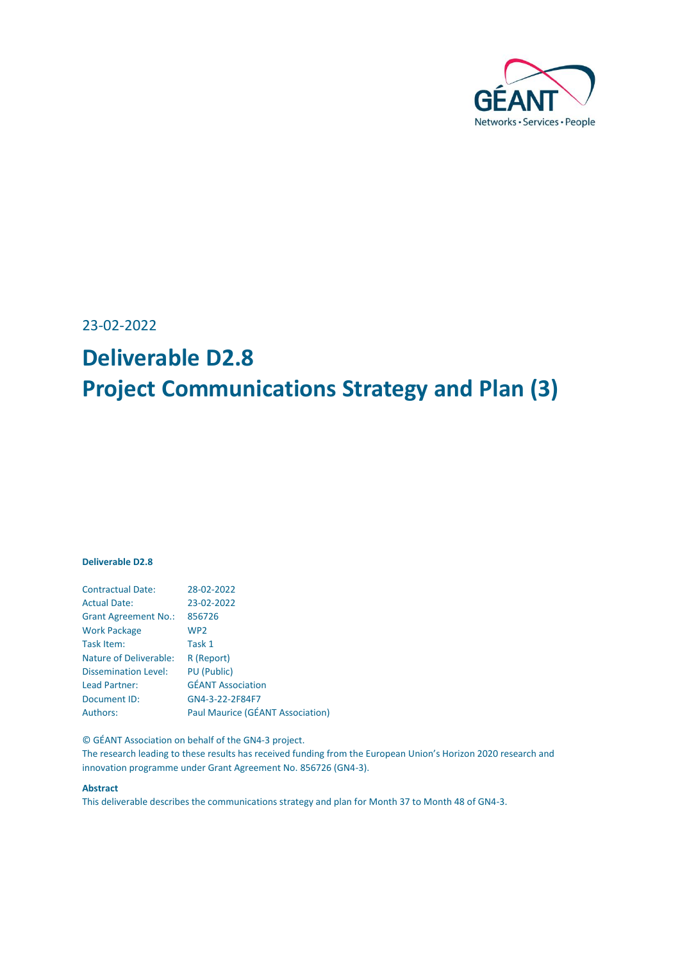

23-02-2022

# **Deliverable D2.8 Project Communications Strategy and Plan (3)**

#### **Deliverable D2.8**

| <b>Contractual Date:</b>      | 28-02-2022                       |
|-------------------------------|----------------------------------|
| <b>Actual Date:</b>           | 23-02-2022                       |
| <b>Grant Agreement No.:</b>   | 856726                           |
| <b>Work Package</b>           | WP <sub>2</sub>                  |
| Task Item:                    | Task 1                           |
| <b>Nature of Deliverable:</b> | R (Report)                       |
| <b>Dissemination Level:</b>   | <b>PU</b> (Public)               |
| Lead Partner:                 | <b>GÉANT Association</b>         |
| Document ID:                  | GN4-3-22-2F84F7                  |
| <b>Authors:</b>               | Paul Maurice (GÉANT Association) |

© GÉANT Association on behalf of the GN4-3 project.

The research leading to these results has received funding from the European Union's Horizon 2020 research and innovation programme under Grant Agreement No. 856726 (GN4-3).

#### **Abstract**

This deliverable describes the communications strategy and plan for Month 37 to Month 48 of GN4-3.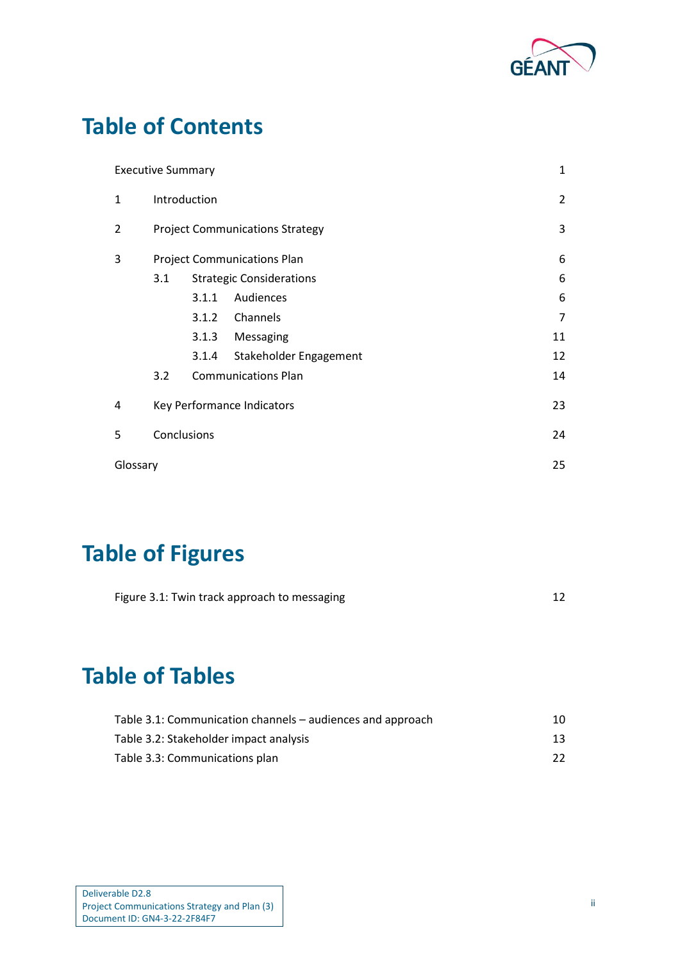

# **Table of Contents**

|                | <b>Executive Summary</b> |       |                                        |                |
|----------------|--------------------------|-------|----------------------------------------|----------------|
| $\mathbf{1}$   | Introduction             |       |                                        | $\overline{c}$ |
| $\overline{2}$ |                          |       | <b>Project Communications Strategy</b> | 3              |
| 3              |                          |       | <b>Project Communications Plan</b>     | 6              |
|                | 3.1                      |       | <b>Strategic Considerations</b>        | 6              |
|                |                          | 3.1.1 | Audiences                              | 6              |
|                |                          | 3.1.2 | Channels                               | 7              |
|                |                          | 3.1.3 | Messaging                              | 11             |
|                |                          | 3.1.4 | Stakeholder Engagement                 | 12             |
|                | 3.2                      |       | <b>Communications Plan</b>             | 14             |
| 4              |                          |       | Key Performance Indicators             | 23             |
| 5              | Conclusions              |       |                                        |                |
|                | Glossary                 |       |                                        | 25             |

# **Table of Figures**

| Figure 3.1: Twin track approach to messaging |  |
|----------------------------------------------|--|
|                                              |  |

# **Table of Tables**

| Table 3.1: Communication channels – audiences and approach | 10. |
|------------------------------------------------------------|-----|
| Table 3.2: Stakeholder impact analysis                     | 13  |
| Table 3.3: Communications plan                             | 22  |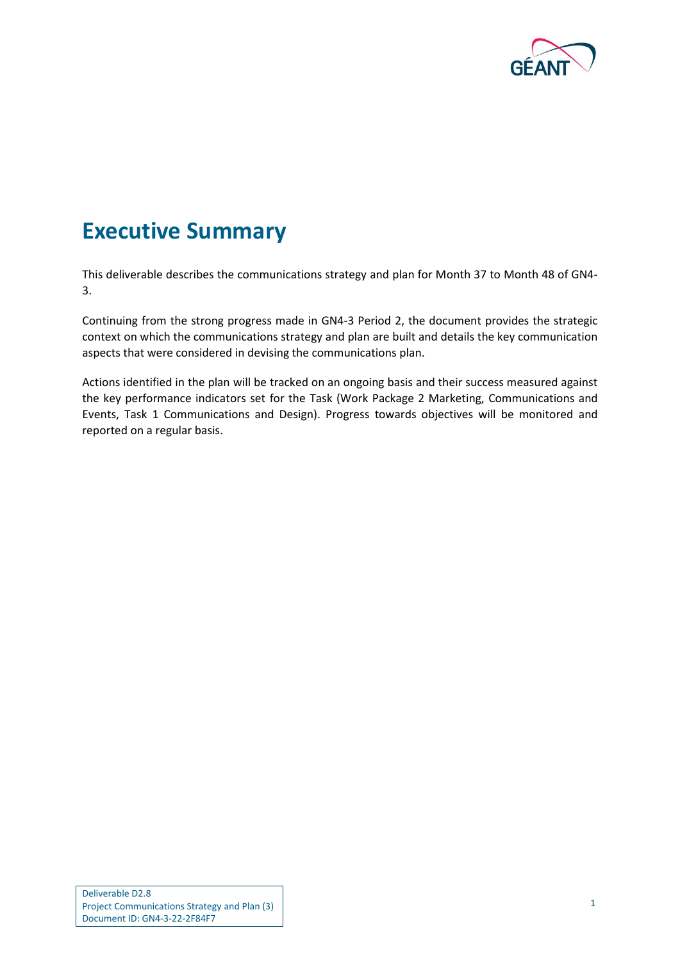

### <span id="page-2-0"></span>**Executive Summary**

This deliverable describes the communications strategy and plan for Month 37 to Month 48 of GN4- 3.

Continuing from the strong progress made in GN4-3 Period 2, the document provides the strategic context on which the communications strategy and plan are built and details the key communication aspects that were considered in devising the communications plan.

Actions identified in the plan will be tracked on an ongoing basis and their success measured against the key performance indicators set for the Task (Work Package 2 Marketing, Communications and Events, Task 1 Communications and Design). Progress towards objectives will be monitored and reported on a regular basis.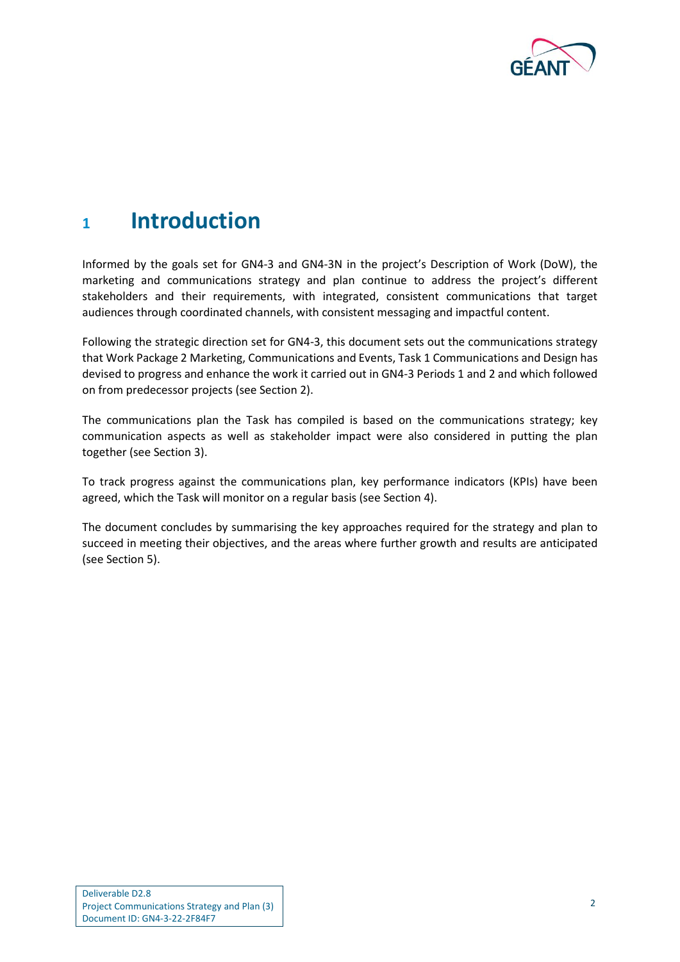

### <span id="page-3-0"></span>**<sup>1</sup> Introduction**

Informed by the goals set for GN4-3 and GN4-3N in the project's Description of Work (DoW), the marketing and communications strategy and plan continue to address the project's different stakeholders and their requirements, with integrated, consistent communications that target audiences through coordinated channels, with consistent messaging and impactful content.

Following the strategic direction set for GN4-3, this document sets out the communications strategy that Work Package 2 Marketing, Communications and Events, Task 1 Communications and Design has devised to progress and enhance the work it carried out in GN4-3 Periods 1 and 2 and which followed on from predecessor projects (see Sectio[n 2\)](#page-4-0).

The communications plan the Task has compiled is based on the communications strategy; key communication aspects as well as stakeholder impact were also considered in putting the plan together (see Section [3\)](#page-7-0).

To track progress against the communications plan, key performance indicators (KPIs) have been agreed, which the Task will monitor on a regular basis (see Section [4\)](#page-24-0).

The document concludes by summarising the key approaches required for the strategy and plan to succeed in meeting their objectives, and the areas where further growth and results are anticipated (see Section [5\)](#page-25-0).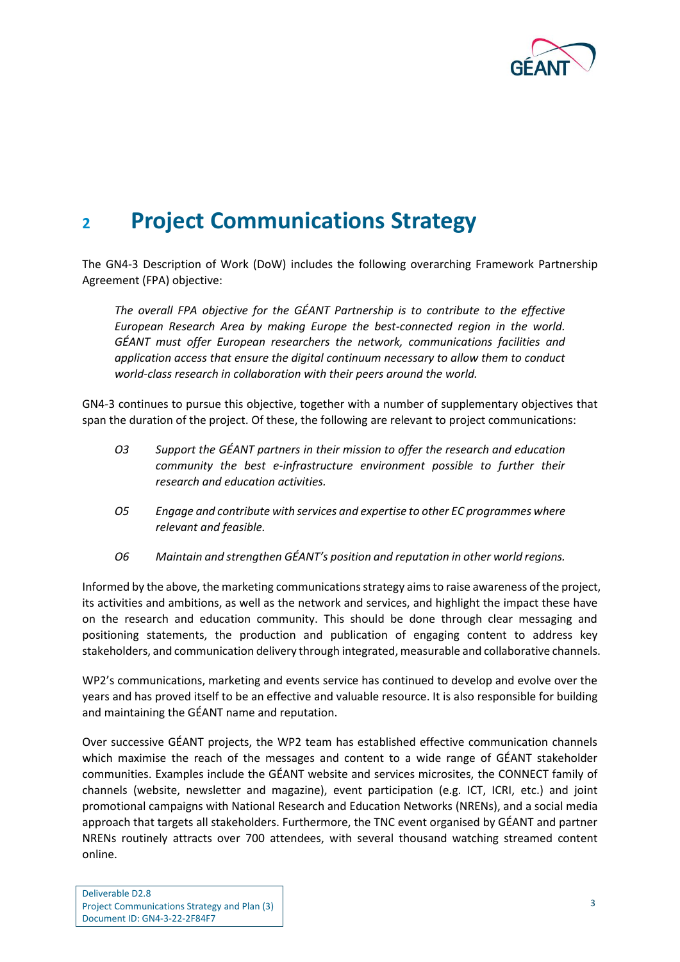

# <span id="page-4-0"></span>**<sup>2</sup> Project Communications Strategy**

The GN4-3 Description of Work (DoW) includes the following overarching Framework Partnership Agreement (FPA) objective:

*The overall FPA objective for the GÉANT Partnership is to contribute to the effective European Research Area by making Europe the best-connected region in the world. GÉANT must offer European researchers the network, communications facilities and application access that ensure the digital continuum necessary to allow them to conduct world-class research in collaboration with their peers around the world.*

GN4-3 continues to pursue this objective, together with a number of supplementary objectives that span the duration of the project. Of these, the following are relevant to project communications:

- *O3 Support the GÉANT partners in their mission to offer the research and education community the best e-infrastructure environment possible to further their research and education activities.*
- *O5 Engage and contribute with services and expertise to other EC programmes where relevant and feasible.*
- *O6 Maintain and strengthen GÉANT's position and reputation in other world regions.*

Informed by the above, the marketing communications strategy aims to raise awareness of the project, its activities and ambitions, as well as the network and services, and highlight the impact these have on the research and education community. This should be done through clear messaging and positioning statements, the production and publication of engaging content to address key stakeholders, and communication delivery through integrated, measurable and collaborative channels.

WP2's communications, marketing and events service has continued to develop and evolve over the years and has proved itself to be an effective and valuable resource. It is also responsible for building and maintaining the GÉANT name and reputation.

Over successive GÉANT projects, the WP2 team has established effective communication channels which maximise the reach of the messages and content to a wide range of GÉANT stakeholder communities. Examples include the GÉANT website and services microsites, the CONNECT family of channels (website, newsletter and magazine), event participation (e.g. ICT, ICRI, etc.) and joint promotional campaigns with National Research and Education Networks (NRENs), and a social media approach that targets all stakeholders. Furthermore, the TNC event organised by GÉANT and partner NRENs routinely attracts over 700 attendees, with several thousand watching streamed content online.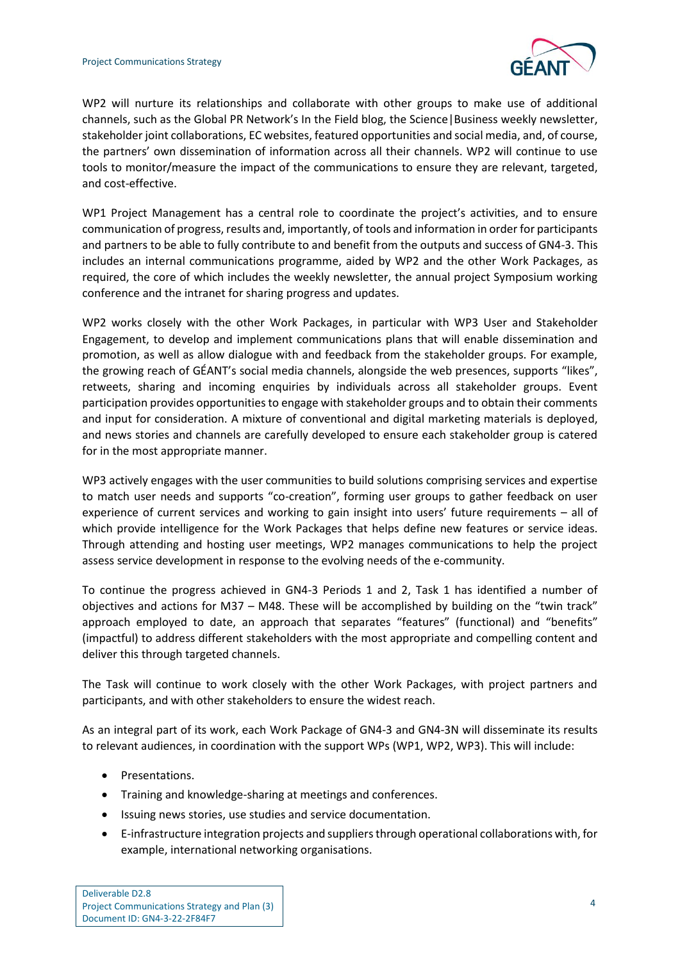

WP2 will nurture its relationships and collaborate with other groups to make use of additional channels, such as the Global PR Network's In the Field blog, the Science|Business weekly newsletter, stakeholder joint collaborations, EC websites, featured opportunities and social media, and, of course, the partners' own dissemination of information across all their channels. WP2 will continue to use tools to monitor/measure the impact of the communications to ensure they are relevant, targeted, and cost-effective.

WP1 Project Management has a central role to coordinate the project's activities, and to ensure communication of progress, results and, importantly, of tools and information in order for participants and partners to be able to fully contribute to and benefit from the outputs and success of GN4-3. This includes an internal communications programme, aided by WP2 and the other Work Packages, as required, the core of which includes the weekly newsletter, the annual project Symposium working conference and the intranet for sharing progress and updates.

WP2 works closely with the other Work Packages, in particular with WP3 User and Stakeholder Engagement, to develop and implement communications plans that will enable dissemination and promotion, as well as allow dialogue with and feedback from the stakeholder groups. For example, the growing reach of GÉANT's social media channels, alongside the web presences, supports "likes", retweets, sharing and incoming enquiries by individuals across all stakeholder groups. Event participation provides opportunities to engage with stakeholder groups and to obtain their comments and input for consideration. A mixture of conventional and digital marketing materials is deployed, and news stories and channels are carefully developed to ensure each stakeholder group is catered for in the most appropriate manner.

WP3 actively engages with the user communities to build solutions comprising services and expertise to match user needs and supports "co-creation", forming user groups to gather feedback on user experience of current services and working to gain insight into users' future requirements – all of which provide intelligence for the Work Packages that helps define new features or service ideas. Through attending and hosting user meetings, WP2 manages communications to help the project assess service development in response to the evolving needs of the e-community.

To continue the progress achieved in GN4-3 Periods 1 and 2, Task 1 has identified a number of objectives and actions for M37 – M48. These will be accomplished by building on the "twin track" approach employed to date, an approach that separates "features" (functional) and "benefits" (impactful) to address different stakeholders with the most appropriate and compelling content and deliver this through targeted channels.

The Task will continue to work closely with the other Work Packages, with project partners and participants, and with other stakeholders to ensure the widest reach.

As an integral part of its work, each Work Package of GN4-3 and GN4-3N will disseminate its results to relevant audiences, in coordination with the support WPs (WP1, WP2, WP3). This will include:

- Presentations.
- Training and knowledge-sharing at meetings and conferences.
- Issuing news stories, use studies and service documentation.
- E-infrastructure integration projects and suppliers through operational collaborations with, for example, international networking organisations.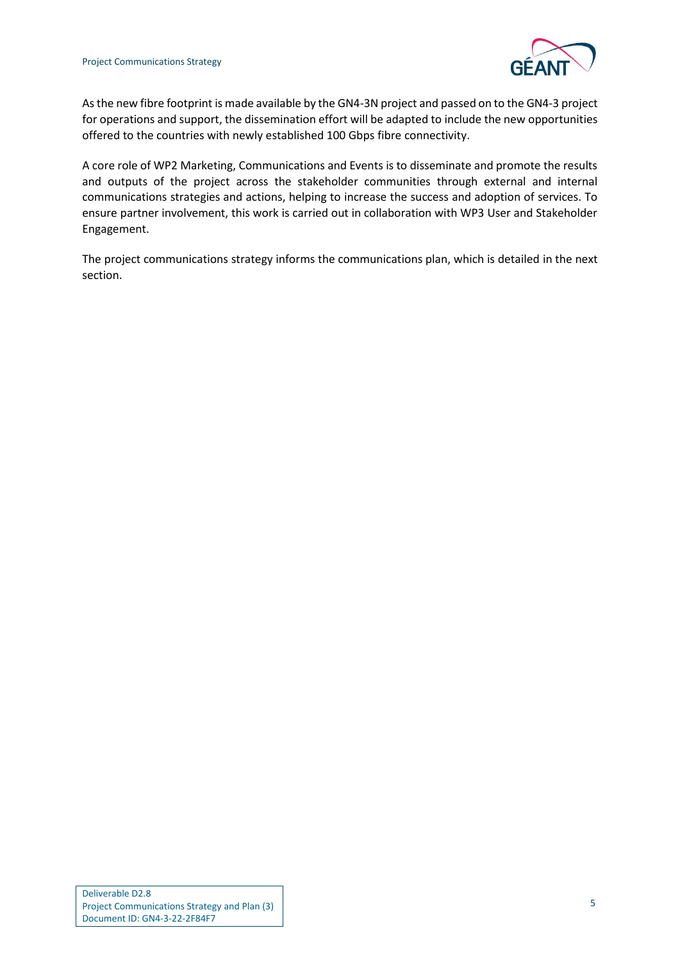

Asthe new fibre footprint is made available by the GN4-3N project and passed on to the GN4-3 project for operations and support, the dissemination effort will be adapted to include the new opportunities offered to the countries with newly established 100 Gbps fibre connectivity.

A core role of WP2 Marketing, Communications and Events is to disseminate and promote the results and outputs of the project across the stakeholder communities through external and internal communications strategies and actions, helping to increase the success and adoption of services. To ensure partner involvement, this work is carried out in collaboration with WP3 User and Stakeholder Engagement.

The project communications strategy informs the communications plan, which is detailed in the next section.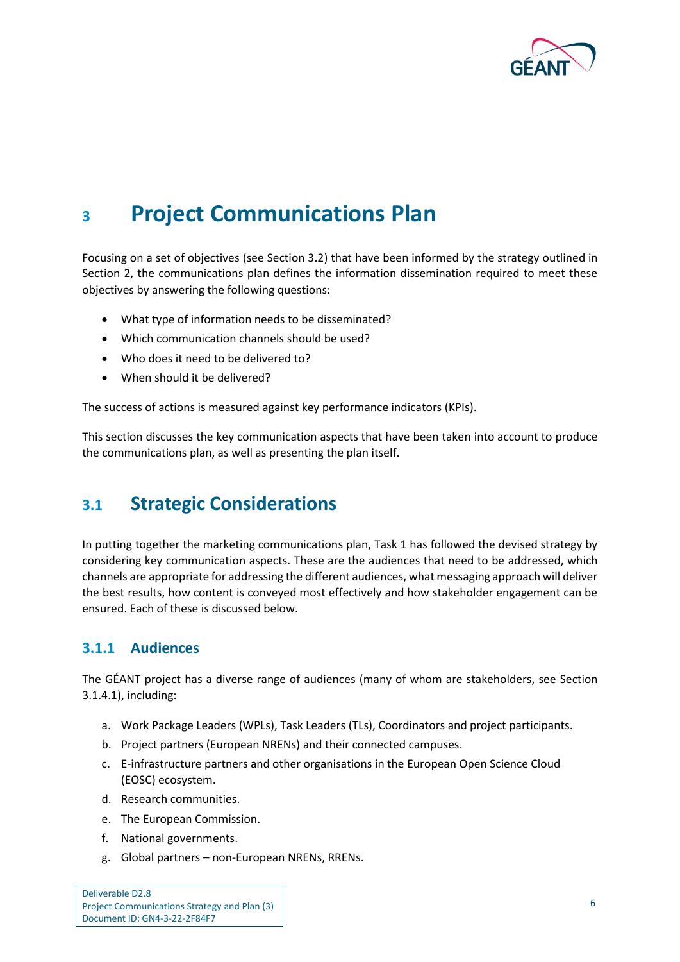

## <span id="page-7-3"></span><span id="page-7-0"></span>**<sup>3</sup> Project Communications Plan**

Focusing on a set of objectives (see Sectio[n 3.2\)](#page-15-0) that have been informed by the strategy outlined in Section [2,](#page-4-0) the communications plan defines the information dissemination required to meet these objectives by answering the following questions:

- What type of information needs to be disseminated?
- Which communication channels should be used?
- Who does it need to be delivered to?
- When should it be delivered?

The success of actions is measured against key performance indicators (KPIs).

This section discusses the key communication aspects that have been taken into account to produce the communications plan, as well as presenting the plan itself.

### <span id="page-7-1"></span>**3.1 Strategic Considerations**

In putting together the marketing communications plan, Task 1 has followed the devised strategy by considering key communication aspects. These are the audiences that need to be addressed, which channels are appropriate for addressing the different audiences, what messaging approach will deliver the best results, how content is conveyed most effectively and how stakeholder engagement can be ensured. Each of these is discussed below.

#### <span id="page-7-2"></span>**3.1.1 Audiences**

The GÉANT project has a diverse range of audiences (many of whom are stakeholders, see Section [3.1.4.1\)](#page-13-2), including:

- a. Work Package Leaders (WPLs), Task Leaders (TLs), Coordinators and project participants.
- b. Project partners (European NRENs) and their connected campuses.
- c. E-infrastructure partners and other organisations in the European Open Science Cloud (EOSC) ecosystem.
- d. Research communities.
- e. The European Commission.
- f. National governments.
- g. Global partners non-European NRENs, RRENs.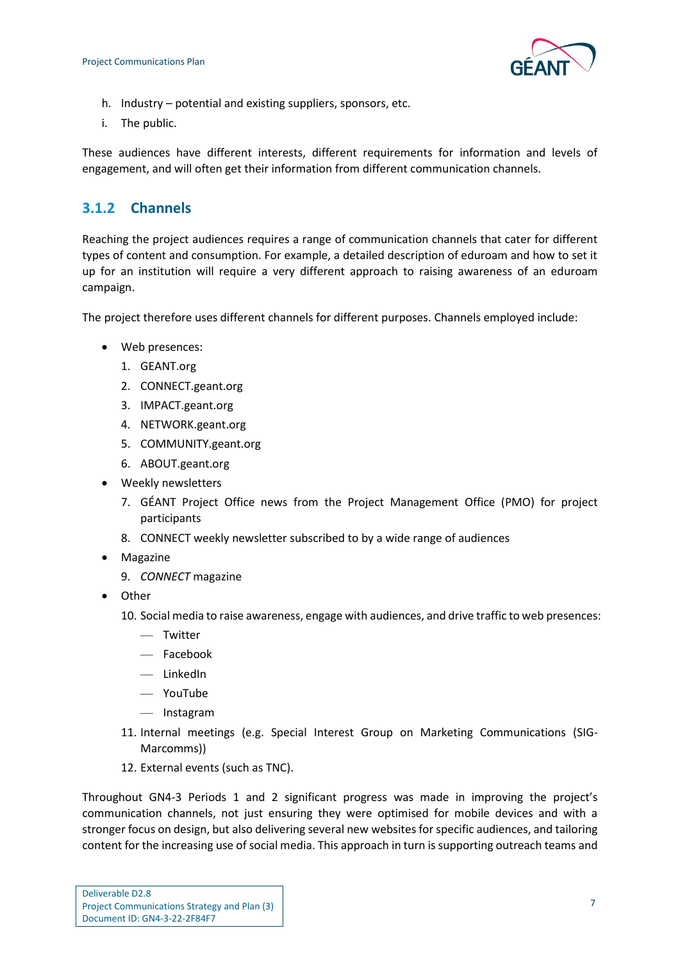

- h. Industry potential and existing suppliers, sponsors, etc.
- i. The public.

These audiences have different interests, different requirements for information and levels of engagement, and will often get their information from different communication channels.

### <span id="page-8-0"></span>**3.1.2 Channels**

Reaching the project audiences requires a range of communication channels that cater for different types of content and consumption. For example, a detailed description of eduroam and how to set it up for an institution will require a very different approach to raising awareness of an eduroam campaign.

The project therefore uses different channels for different purposes. Channels employed include:

- Web presences:
	- 1. GEANT.org
	- 2. CONNECT.geant.org
	- 3. IMPACT.geant.org
	- 4. NETWORK.geant.org
	- 5. COMMUNITY.geant.org
	- 6. ABOUT.geant.org
- Weekly newsletters
	- 7. GÉANT Project Office news from the Project Management Office (PMO) for project participants
	- 8. CONNECT weekly newsletter subscribed to by a wide range of audiences
- Magazine
	- 9. *CONNECT* magazine
- Other
	- 10. Social media to raise awareness, engage with audiences, and drive traffic to web presences:
		- Twitter
		- Facebook
		- LinkedIn
		- YouTube
		- Instagram
	- 11. Internal meetings (e.g. Special Interest Group on Marketing Communications (SIG-Marcomms))
	- 12. External events (such as TNC).

Throughout GN4-3 Periods 1 and 2 significant progress was made in improving the project's communication channels, not just ensuring they were optimised for mobile devices and with a stronger focus on design, but also delivering several new websites for specific audiences, and tailoring content for the increasing use of social media. This approach in turn is supporting outreach teams and

| Deliverable D2.8                             |
|----------------------------------------------|
| Project Communications Strategy and Plan (3) |
| Document ID: GN4-3-22-2F84F7                 |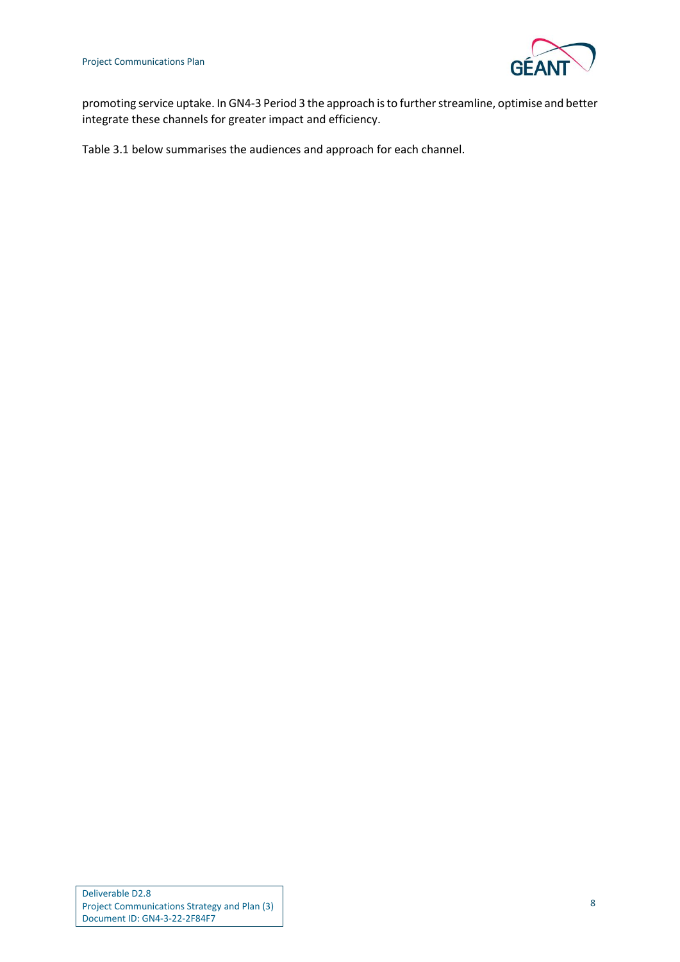

promoting service uptake. In GN4-3 Period 3 the approach is to further streamline, optimise and better integrate these channels for greater impact and efficiency.

[Table 3.1](#page-11-0) below summarises the audiences and approach for each channel.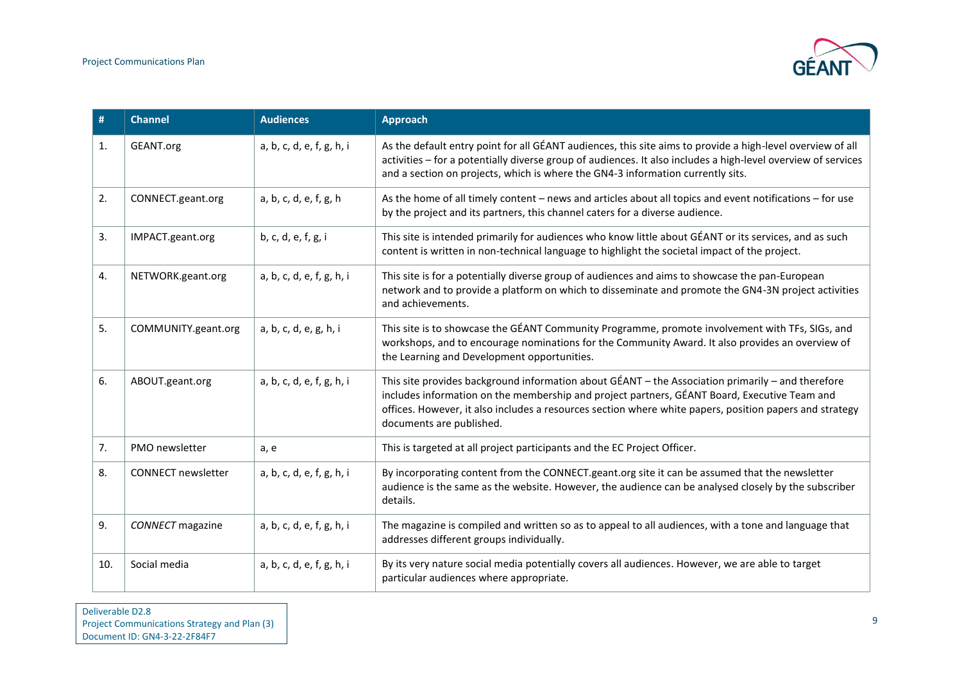

| #              | <b>Channel</b>            | <b>Audiences</b>          | <b>Approach</b>                                                                                                                                                                                                                                                                                                                          |
|----------------|---------------------------|---------------------------|------------------------------------------------------------------------------------------------------------------------------------------------------------------------------------------------------------------------------------------------------------------------------------------------------------------------------------------|
| $\mathbf{1}$ . | GEANT.org                 | a, b, c, d, e, f, g, h, i | As the default entry point for all GÉANT audiences, this site aims to provide a high-level overview of all<br>activities - for a potentially diverse group of audiences. It also includes a high-level overview of services<br>and a section on projects, which is where the GN4-3 information currently sits.                           |
| 2.             | CONNECT.geant.org         | a, b, c, d, e, f, g, h    | As the home of all timely content - news and articles about all topics and event notifications - for use<br>by the project and its partners, this channel caters for a diverse audience.                                                                                                                                                 |
| 3.             | IMPACT.geant.org          | b, c, d, e, f, g, i       | This site is intended primarily for audiences who know little about GÉANT or its services, and as such<br>content is written in non-technical language to highlight the societal impact of the project.                                                                                                                                  |
| 4.             | NETWORK.geant.org         | a, b, c, d, e, f, g, h, i | This site is for a potentially diverse group of audiences and aims to showcase the pan-European<br>network and to provide a platform on which to disseminate and promote the GN4-3N project activities<br>and achievements.                                                                                                              |
| 5.             | COMMUNITY.geant.org       | a, b, c, d, e, g, h, i    | This site is to showcase the GÉANT Community Programme, promote involvement with TFs, SIGs, and<br>workshops, and to encourage nominations for the Community Award. It also provides an overview of<br>the Learning and Development opportunities.                                                                                       |
| 6.             | ABOUT.geant.org           | a, b, c, d, e, f, g, h, i | This site provides background information about GÉANT - the Association primarily - and therefore<br>includes information on the membership and project partners, GÉANT Board, Executive Team and<br>offices. However, it also includes a resources section where white papers, position papers and strategy<br>documents are published. |
| 7.             | PMO newsletter            | a, e                      | This is targeted at all project participants and the EC Project Officer.                                                                                                                                                                                                                                                                 |
| 8.             | <b>CONNECT</b> newsletter | a, b, c, d, e, f, g, h, i | By incorporating content from the CONNECT.geant.org site it can be assumed that the newsletter<br>audience is the same as the website. However, the audience can be analysed closely by the subscriber<br>details.                                                                                                                       |
| 9.             | <b>CONNECT</b> magazine   | a, b, c, d, e, f, g, h, i | The magazine is compiled and written so as to appeal to all audiences, with a tone and language that<br>addresses different groups individually.                                                                                                                                                                                         |
| 10.            | Social media              | a, b, c, d, e, f, g, h, i | By its very nature social media potentially covers all audiences. However, we are able to target<br>particular audiences where appropriate.                                                                                                                                                                                              |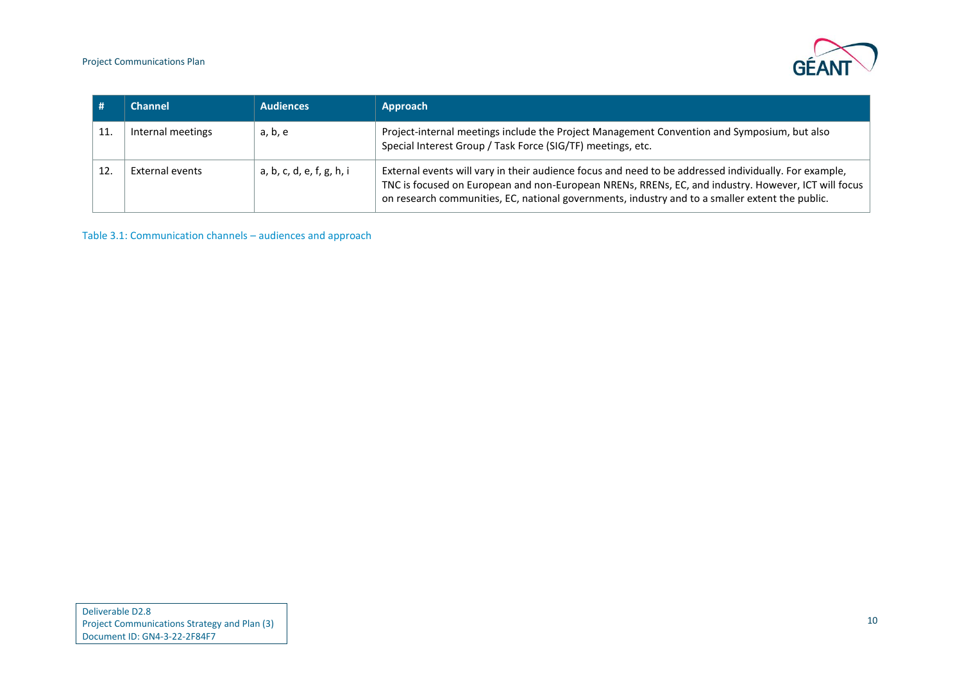Project Communications Plan



| Channel           | <b>Audiences</b>          | Approach                                                                                                                                                                                                                                                                                                        |
|-------------------|---------------------------|-----------------------------------------------------------------------------------------------------------------------------------------------------------------------------------------------------------------------------------------------------------------------------------------------------------------|
| Internal meetings | a, b, e                   | Project-internal meetings include the Project Management Convention and Symposium, but also<br>Special Interest Group / Task Force (SIG/TF) meetings, etc.                                                                                                                                                      |
| External events   | a, b, c, d, e, f, g, h, i | External events will vary in their audience focus and need to be addressed individually. For example,<br>TNC is focused on European and non-European NRENs, RRENs, EC, and industry. However, ICT will focus<br>on research communities, EC, national governments, industry and to a smaller extent the public. |

<span id="page-11-0"></span>Table 3.1: Communication channels – audiences and approach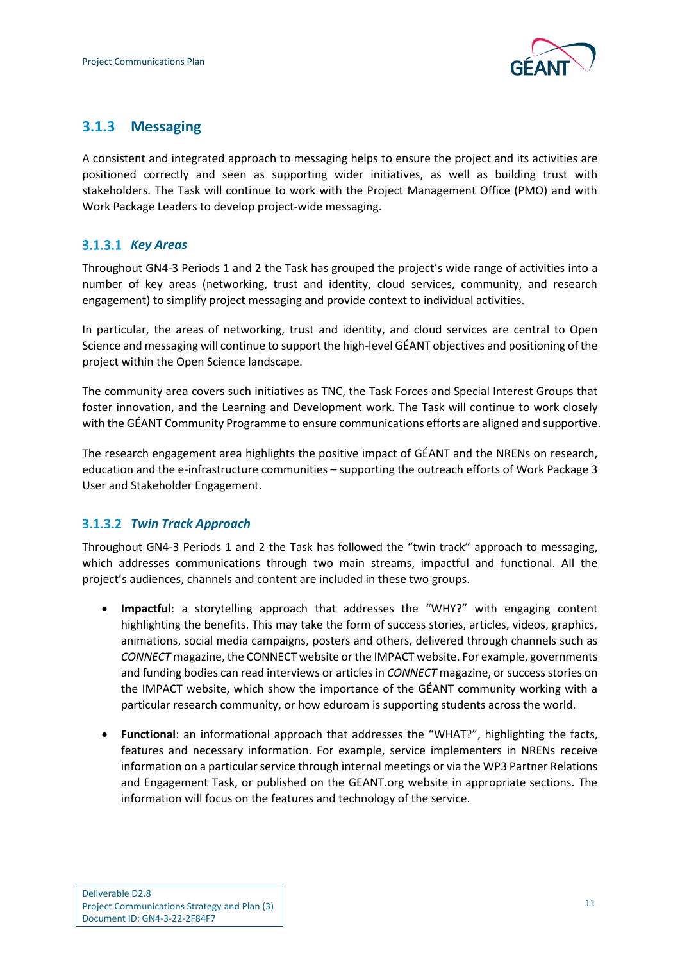

### <span id="page-12-0"></span>**3.1.3 Messaging**

A consistent and integrated approach to messaging helps to ensure the project and its activities are positioned correctly and seen as supporting wider initiatives, as well as building trust with stakeholders. The Task will continue to work with the Project Management Office (PMO) and with Work Package Leaders to develop project-wide messaging.

#### *Key Areas*

Throughout GN4-3 Periods 1 and 2 the Task has grouped the project's wide range of activities into a number of key areas (networking, trust and identity, cloud services, community, and research engagement) to simplify project messaging and provide context to individual activities.

In particular, the areas of networking, trust and identity, and cloud services are central to Open Science and messaging will continue to support the high-level GÉANT objectives and positioning of the project within the Open Science landscape.

The community area covers such initiatives as TNC, the Task Forces and Special Interest Groups that foster innovation, and the Learning and Development work. The Task will continue to work closely with the GÉANT Community Programme to ensure communications efforts are aligned and supportive.

The research engagement area highlights the positive impact of GÉANT and the NRENs on research, education and the e-infrastructure communities – supporting the outreach efforts of Work Package 3 User and Stakeholder Engagement.

#### *Twin Track Approach*

Throughout GN4-3 Periods 1 and 2 the Task has followed the "twin track" approach to messaging, which addresses communications through two main streams, impactful and functional. All the project's audiences, channels and content are included in these two groups.

- **Impactful**: a storytelling approach that addresses the "WHY?" with engaging content highlighting the benefits. This may take the form of success stories, articles, videos, graphics, animations, social media campaigns, posters and others, delivered through channels such as *CONNECT* magazine, the CONNECT website or the IMPACT website. For example, governments and funding bodies can read interviews or articles in *CONNECT* magazine, or success stories on the IMPACT website, which show the importance of the GÉANT community working with a particular research community, or how eduroam is supporting students across the world.
- **Functional**: an informational approach that addresses the "WHAT?", highlighting the facts, features and necessary information. For example, service implementers in NRENs receive information on a particular service through internal meetings or via the WP3 Partner Relations and Engagement Task, or published on the GEANT.org website in appropriate sections. The information will focus on the features and technology of the service.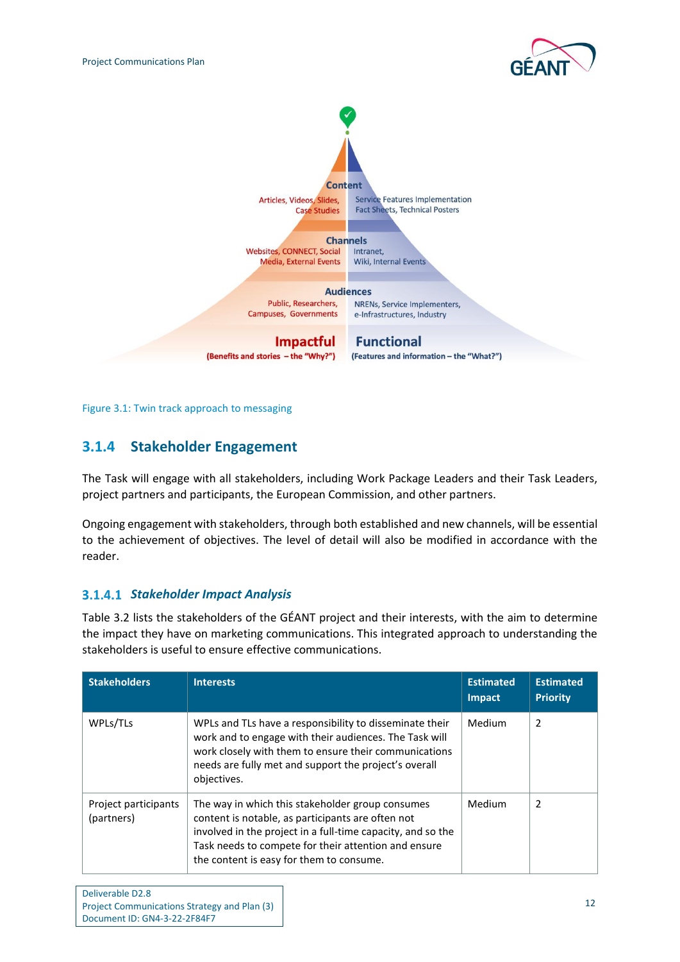



<span id="page-13-1"></span>Figure 3.1: Twin track approach to messaging

### <span id="page-13-0"></span>**3.1.4 Stakeholder Engagement**

The Task will engage with all stakeholders, including Work Package Leaders and their Task Leaders, project partners and participants, the European Commission, and other partners.

Ongoing engagement with stakeholders, through both established and new channels, will be essential to the achievement of objectives. The level of detail will also be modified in accordance with the reader.

#### <span id="page-13-2"></span>*Stakeholder Impact Analysis*

[Table 3.2](#page-14-0) lists the stakeholders of the GÉANT project and their interests, with the aim to determine the impact they have on marketing communications. This integrated approach to understanding the stakeholders is useful to ensure effective communications.

| <b>Stakeholders</b>                | <b>Interests</b>                                                                                                                                                                                                                                                         | <b>Estimated</b><br>Impact | <b>Estimated</b><br><b>Priority</b> |
|------------------------------------|--------------------------------------------------------------------------------------------------------------------------------------------------------------------------------------------------------------------------------------------------------------------------|----------------------------|-------------------------------------|
| WPLs/TLs                           | WPLs and TLs have a responsibility to disseminate their<br>work and to engage with their audiences. The Task will<br>work closely with them to ensure their communications<br>needs are fully met and support the project's overall<br>objectives.                       | Medium                     | 2                                   |
| Project participants<br>(partners) | The way in which this stakeholder group consumes<br>content is notable, as participants are often not<br>involved in the project in a full-time capacity, and so the<br>Task needs to compete for their attention and ensure<br>the content is easy for them to consume. | Medium                     | $\mathcal{P}$                       |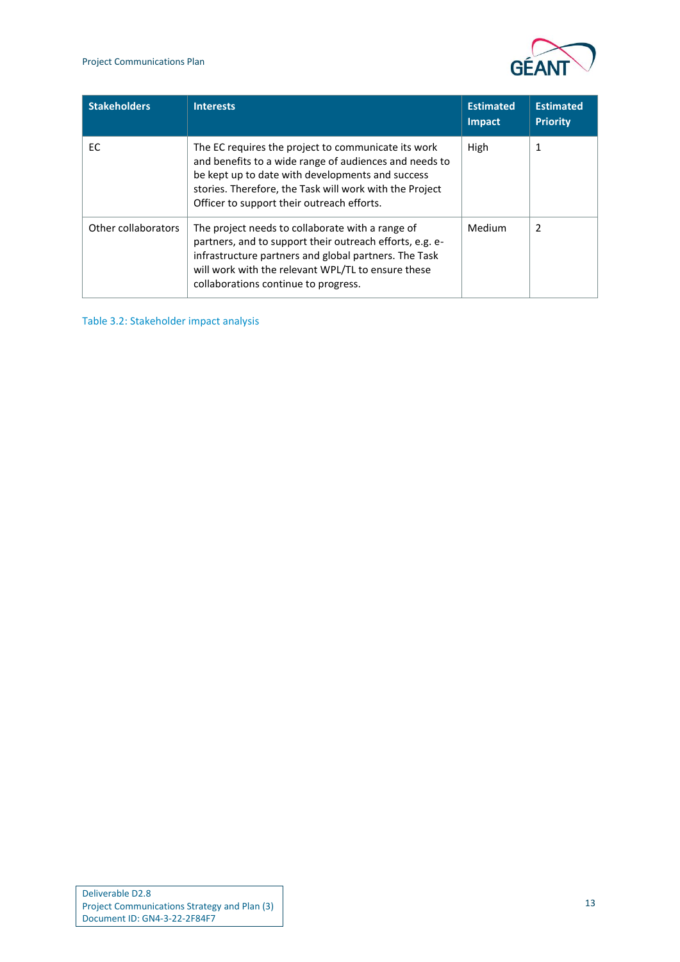

| <b>Stakeholders</b> | <b>Interests</b>                                                                                                                                                                                                                                                           | <b>Estimated</b><br><b>Impact</b> | <b>Estimated</b><br><b>Priority</b> |
|---------------------|----------------------------------------------------------------------------------------------------------------------------------------------------------------------------------------------------------------------------------------------------------------------------|-----------------------------------|-------------------------------------|
| EC.                 | The EC requires the project to communicate its work<br>and benefits to a wide range of audiences and needs to<br>be kept up to date with developments and success<br>stories. Therefore, the Task will work with the Project<br>Officer to support their outreach efforts. | High                              | 1                                   |
| Other collaborators | The project needs to collaborate with a range of<br>partners, and to support their outreach efforts, e.g. e-<br>infrastructure partners and global partners. The Task<br>will work with the relevant WPL/TL to ensure these<br>collaborations continue to progress.        |                                   | 2                                   |

<span id="page-14-0"></span>Table 3.2: Stakeholder impact analysis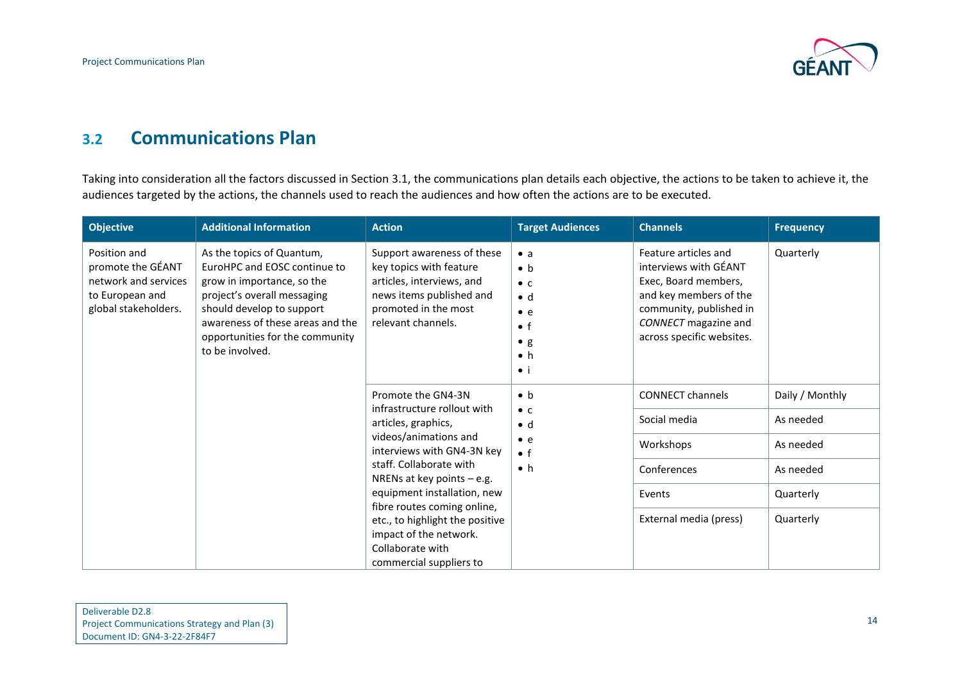

### **3.2 Communications Plan**

Taking into consideration all the factors discussed in Section [3.1,](#page-7-3) the communications plan details each objective, the actions to be taken to achieve it, the audiences targeted by the actions, the channels used to reach the audiences and how often the actions are to be executed.

<span id="page-15-0"></span>

| <b>Objective</b>                                                                                     | <b>Additional Information</b>                                                                                                                                                                                                                 | <b>Action</b>                                                                                                                                                                                                                                                                                                                                                                                                             | <b>Target Audiences</b>                                                                                                             | <b>Channels</b>                                                                                                                                                                 | <b>Frequency</b> |
|------------------------------------------------------------------------------------------------------|-----------------------------------------------------------------------------------------------------------------------------------------------------------------------------------------------------------------------------------------------|---------------------------------------------------------------------------------------------------------------------------------------------------------------------------------------------------------------------------------------------------------------------------------------------------------------------------------------------------------------------------------------------------------------------------|-------------------------------------------------------------------------------------------------------------------------------------|---------------------------------------------------------------------------------------------------------------------------------------------------------------------------------|------------------|
| Position and<br>promote the GÉANT<br>network and services<br>to European and<br>global stakeholders. | As the topics of Quantum,<br>EuroHPC and EOSC continue to<br>grow in importance, so the<br>project's overall messaging<br>should develop to support<br>awareness of these areas and the<br>opportunities for the community<br>to be involved. | Support awareness of these<br>key topics with feature<br>articles, interviews, and<br>news items published and<br>promoted in the most<br>relevant channels.                                                                                                                                                                                                                                                              | $\bullet$ a<br>$\bullet$ b<br>$\bullet$ C<br>$\bullet$ d<br>$\bullet$ e<br>$\bullet$ f<br>$\bullet$ g<br>$\bullet$ h<br>$\bullet$ i | Feature articles and<br>interviews with GÉANT<br>Exec, Board members,<br>and key members of the<br>community, published in<br>CONNECT magazine and<br>across specific websites. | Quarterly        |
|                                                                                                      |                                                                                                                                                                                                                                               | Promote the GN4-3N                                                                                                                                                                                                                                                                                                                                                                                                        | $\bullet$ h                                                                                                                         | <b>CONNECT channels</b>                                                                                                                                                         | Daily / Monthly  |
|                                                                                                      |                                                                                                                                                                                                                                               | infrastructure rollout with<br>$\bullet$ C<br>articles, graphics,<br>$\bullet$ d<br>videos/animations and<br>$\bullet$ e<br>interviews with GN4-3N key<br>$\bullet$ f<br>staff. Collaborate with<br>$\bullet$ h<br>NRENs at key points $-$ e.g.<br>equipment installation, new<br>fibre routes coming online,<br>etc., to highlight the positive<br>impact of the network.<br>Collaborate with<br>commercial suppliers to |                                                                                                                                     | Social media                                                                                                                                                                    | As needed        |
|                                                                                                      |                                                                                                                                                                                                                                               |                                                                                                                                                                                                                                                                                                                                                                                                                           |                                                                                                                                     | Workshops                                                                                                                                                                       | As needed        |
|                                                                                                      |                                                                                                                                                                                                                                               |                                                                                                                                                                                                                                                                                                                                                                                                                           |                                                                                                                                     | Conferences                                                                                                                                                                     | As needed        |
|                                                                                                      |                                                                                                                                                                                                                                               |                                                                                                                                                                                                                                                                                                                                                                                                                           |                                                                                                                                     | Events                                                                                                                                                                          | Quarterly        |
|                                                                                                      |                                                                                                                                                                                                                                               |                                                                                                                                                                                                                                                                                                                                                                                                                           |                                                                                                                                     | External media (press)                                                                                                                                                          | Quarterly        |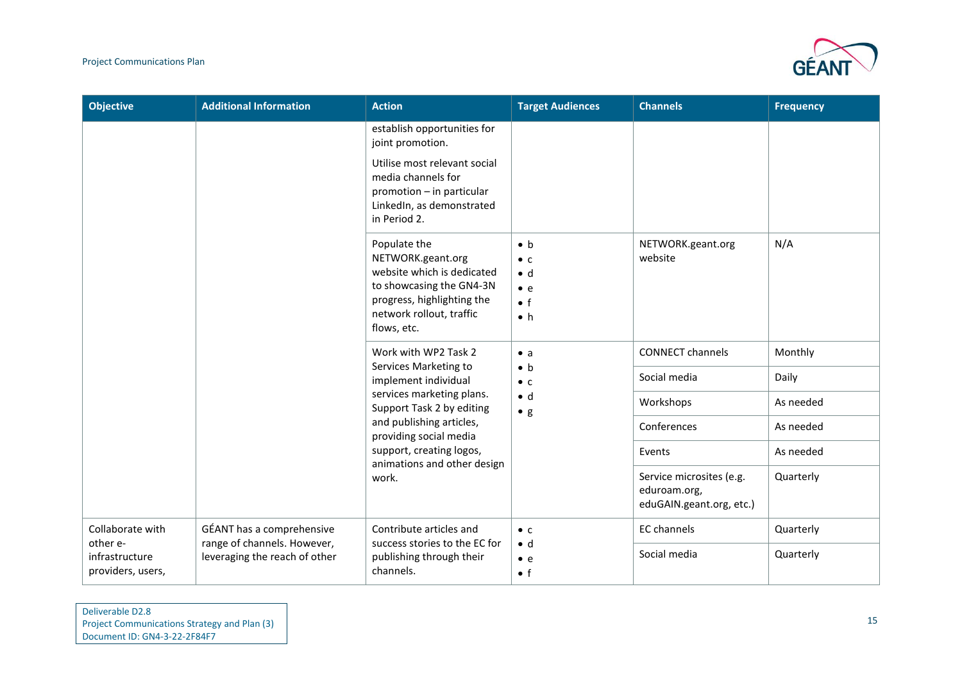

| <b>Objective</b>                    | <b>Additional Information</b>                            | <b>Action</b>                                                                                                                                                                                            | <b>Target Audiences</b>                                                                | <b>Channels</b>                                                      | <b>Frequency</b> |
|-------------------------------------|----------------------------------------------------------|----------------------------------------------------------------------------------------------------------------------------------------------------------------------------------------------------------|----------------------------------------------------------------------------------------|----------------------------------------------------------------------|------------------|
|                                     |                                                          | establish opportunities for<br>joint promotion.                                                                                                                                                          |                                                                                        |                                                                      |                  |
|                                     |                                                          | Utilise most relevant social<br>media channels for<br>promotion - in particular<br>LinkedIn, as demonstrated<br>in Period 2.                                                                             |                                                                                        |                                                                      |                  |
|                                     |                                                          | Populate the<br>NETWORK.geant.org<br>website which is dedicated<br>to showcasing the GN4-3N<br>progress, highlighting the<br>network rollout, traffic<br>flows, etc.                                     | $\bullet$ b<br>$\bullet$ C<br>$\bullet$ d<br>$\bullet$ e<br>$\bullet$ f<br>$\bullet$ h | NETWORK.geant.org<br>website                                         | N/A              |
|                                     |                                                          | Work with WP2 Task 2<br>Services Marketing to                                                                                                                                                            | $\bullet$ a<br>$\bullet$ b                                                             | <b>CONNECT channels</b>                                              | Monthly          |
|                                     |                                                          | implement individual<br>services marketing plans.<br>Support Task 2 by editing<br>and publishing articles,<br>providing social media<br>support, creating logos,<br>animations and other design<br>work. | $\bullet$ C<br>$\bullet$ d<br>$\bullet$ g                                              | Social media                                                         | Daily            |
|                                     |                                                          |                                                                                                                                                                                                          |                                                                                        | Workshops                                                            | As needed        |
|                                     |                                                          |                                                                                                                                                                                                          |                                                                                        | Conferences                                                          | As needed        |
|                                     |                                                          |                                                                                                                                                                                                          |                                                                                        | Events                                                               | As needed        |
|                                     |                                                          |                                                                                                                                                                                                          |                                                                                        | Service microsites (e.g.<br>eduroam.org,<br>eduGAIN.geant.org, etc.) | Quarterly        |
| Collaborate with<br>other e-        | GÉANT has a comprehensive<br>range of channels. However, | Contribute articles and<br>success stories to the EC for                                                                                                                                                 | $\bullet$ C                                                                            | EC channels                                                          | Quarterly        |
| infrastructure<br>providers, users, | leveraging the reach of other                            | publishing through their<br>channels.                                                                                                                                                                    | $\bullet$ d<br>$\bullet$ e<br>$\bullet$ f                                              | Social media                                                         | Quarterly        |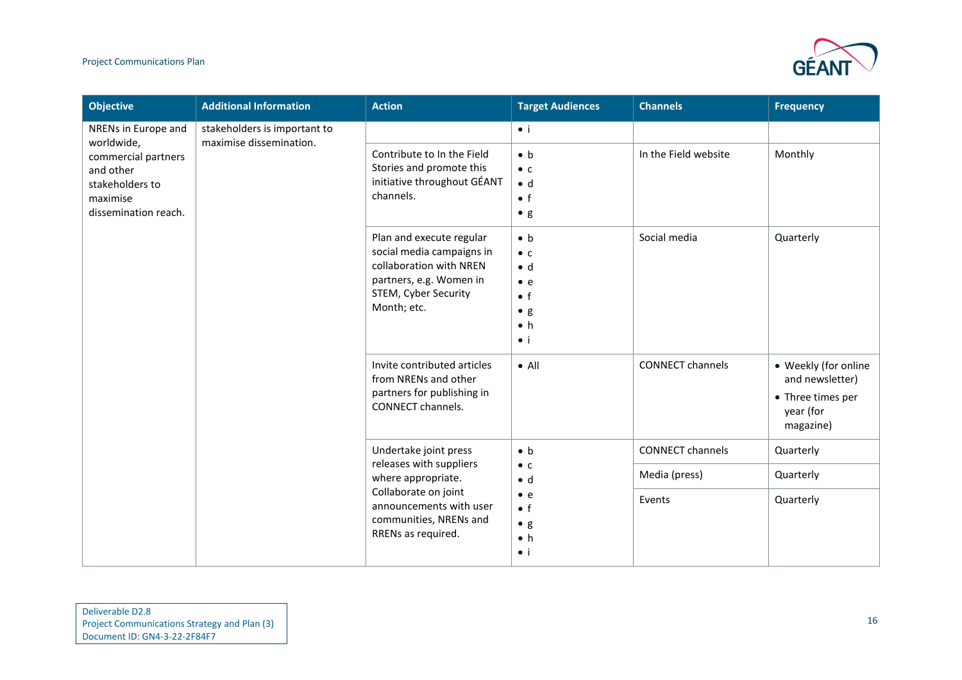#### Project Communications Plan



| <b>Objective</b>                                                                                                             | <b>Additional Information</b>                           | <b>Action</b>                                                                                                                                                             | <b>Target Audiences</b>                                                                                              | <b>Channels</b>         | <b>Frequency</b>                                                                       |
|------------------------------------------------------------------------------------------------------------------------------|---------------------------------------------------------|---------------------------------------------------------------------------------------------------------------------------------------------------------------------------|----------------------------------------------------------------------------------------------------------------------|-------------------------|----------------------------------------------------------------------------------------|
| NRENs in Europe and<br>worldwide,<br>commercial partners<br>and other<br>stakeholders to<br>maximise<br>dissemination reach. | stakeholders is important to<br>maximise dissemination. |                                                                                                                                                                           | $\bullet$ i                                                                                                          |                         |                                                                                        |
|                                                                                                                              |                                                         | Contribute to In the Field<br>Stories and promote this<br>initiative throughout GÉANT<br>channels.                                                                        | $\bullet$ h<br>$\bullet$ C<br>$\bullet$ d<br>$\bullet$ f<br>$\bullet$ g                                              | In the Field website    | Monthly                                                                                |
|                                                                                                                              |                                                         | Plan and execute regular<br>social media campaigns in<br>collaboration with NREN<br>partners, e.g. Women in<br>STEM, Cyber Security<br>Month; etc.                        | $\bullet$ b<br>$\bullet$ C<br>$\bullet$ d<br>$\bullet$ e<br>$\bullet$ f<br>$\bullet$ g<br>$\bullet$ h<br>$\bullet$ i | Social media            | Quarterly                                                                              |
|                                                                                                                              |                                                         | Invite contributed articles<br>from NRENs and other<br>partners for publishing in<br>CONNECT channels.                                                                    | $\bullet$ All                                                                                                        | <b>CONNECT channels</b> | • Weekly (for online<br>and newsletter)<br>• Three times per<br>year (for<br>magazine) |
|                                                                                                                              |                                                         | Undertake joint press<br>releases with suppliers<br>where appropriate.<br>Collaborate on joint<br>announcements with user<br>communities, NRENs and<br>RRENs as required. | $\bullet$ b                                                                                                          | <b>CONNECT channels</b> | Quarterly                                                                              |
|                                                                                                                              |                                                         |                                                                                                                                                                           | $\bullet$ C<br>$\bullet$ d                                                                                           | Media (press)           | Quarterly                                                                              |
|                                                                                                                              |                                                         |                                                                                                                                                                           | $\bullet$ e<br>$\bullet$ f<br>$\bullet$ g<br>$\bullet$ h<br>$\bullet$ i                                              | Events                  | Quarterly                                                                              |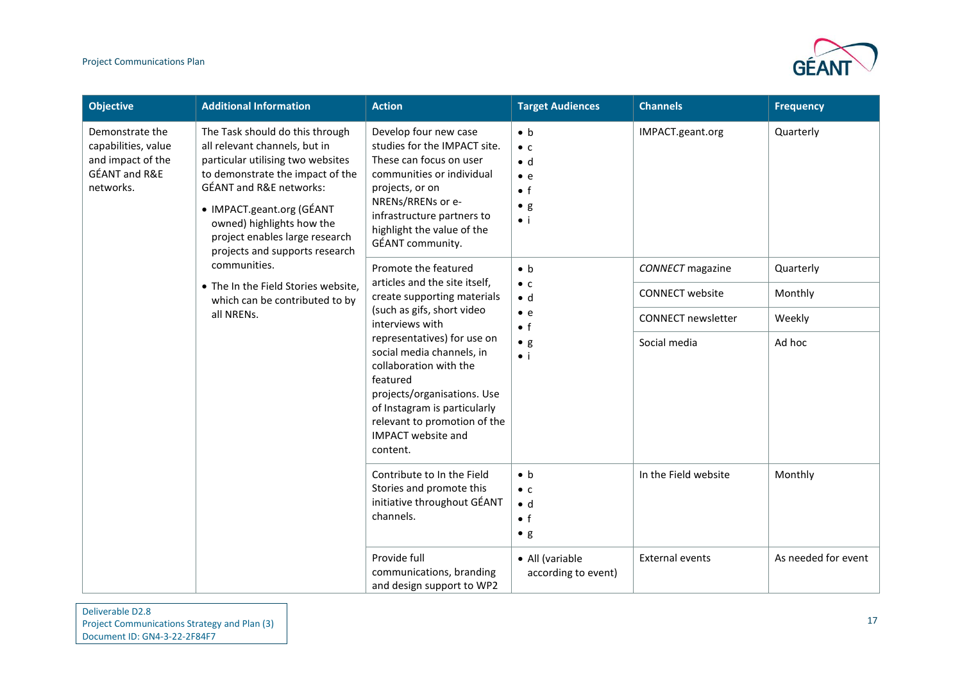

| <b>Objective</b>                                                                                                                                                                                                                      | <b>Additional Information</b>                                                                                                                                                | <b>Action</b>                                                                                                                                                                                                                                                                                                          | <b>Target Audiences</b>                                                                               | <b>Channels</b>           | <b>Frequency</b>    |
|---------------------------------------------------------------------------------------------------------------------------------------------------------------------------------------------------------------------------------------|------------------------------------------------------------------------------------------------------------------------------------------------------------------------------|------------------------------------------------------------------------------------------------------------------------------------------------------------------------------------------------------------------------------------------------------------------------------------------------------------------------|-------------------------------------------------------------------------------------------------------|---------------------------|---------------------|
| Demonstrate the<br>capabilities, value<br>all relevant channels, but in<br>and impact of the<br><b>GÉANT and R&amp;E</b><br><b>GÉANT and R&amp;E networks:</b><br>networks.<br>• IMPACT.geant.org (GÉANT<br>owned) highlights how the | The Task should do this through<br>particular utilising two websites<br>to demonstrate the impact of the<br>project enables large research<br>projects and supports research | Develop four new case<br>studies for the IMPACT site.<br>These can focus on user<br>communities or individual<br>projects, or on<br>NRENs/RRENs or e-<br>infrastructure partners to<br>highlight the value of the<br>GÉANT community.                                                                                  | $\bullet$ b<br>$\bullet$ C<br>$\bullet$ d<br>$\bullet$ e<br>$\bullet$ f<br>$\bullet$ g<br>$\bullet$ i | IMPACT.geant.org          | Quarterly           |
|                                                                                                                                                                                                                                       | communities.<br>• The In the Field Stories website,                                                                                                                          | Promote the featured<br>articles and the site itself,                                                                                                                                                                                                                                                                  | $\bullet$ b<br>$\bullet$ C                                                                            | <b>CONNECT</b> magazine   | Quarterly           |
|                                                                                                                                                                                                                                       | which can be contributed to by                                                                                                                                               | create supporting materials<br>(such as gifs, short video<br>interviews with<br>representatives) for use on<br>social media channels, in<br>collaboration with the<br>featured<br>projects/organisations. Use<br>of Instagram is particularly<br>relevant to promotion of the<br><b>IMPACT</b> website and<br>content. | $\bullet$ d<br>$\bullet$ e<br>$\bullet$ f<br>$\bullet$ g<br>$\bullet$ i                               | <b>CONNECT</b> website    | Monthly             |
|                                                                                                                                                                                                                                       | all NRENs.                                                                                                                                                                   |                                                                                                                                                                                                                                                                                                                        |                                                                                                       | <b>CONNECT newsletter</b> | Weekly              |
|                                                                                                                                                                                                                                       |                                                                                                                                                                              |                                                                                                                                                                                                                                                                                                                        |                                                                                                       | Social media              | Ad hoc              |
|                                                                                                                                                                                                                                       |                                                                                                                                                                              | Contribute to In the Field<br>Stories and promote this<br>initiative throughout GÉANT<br>channels.                                                                                                                                                                                                                     | $\bullet$ b<br>$\bullet$ C<br>$\bullet$ d<br>$\bullet$ f<br>$\bullet$ g                               | In the Field website      | Monthly             |
|                                                                                                                                                                                                                                       |                                                                                                                                                                              | Provide full<br>communications, branding<br>and design support to WP2                                                                                                                                                                                                                                                  | • All (variable<br>according to event)                                                                | <b>External events</b>    | As needed for event |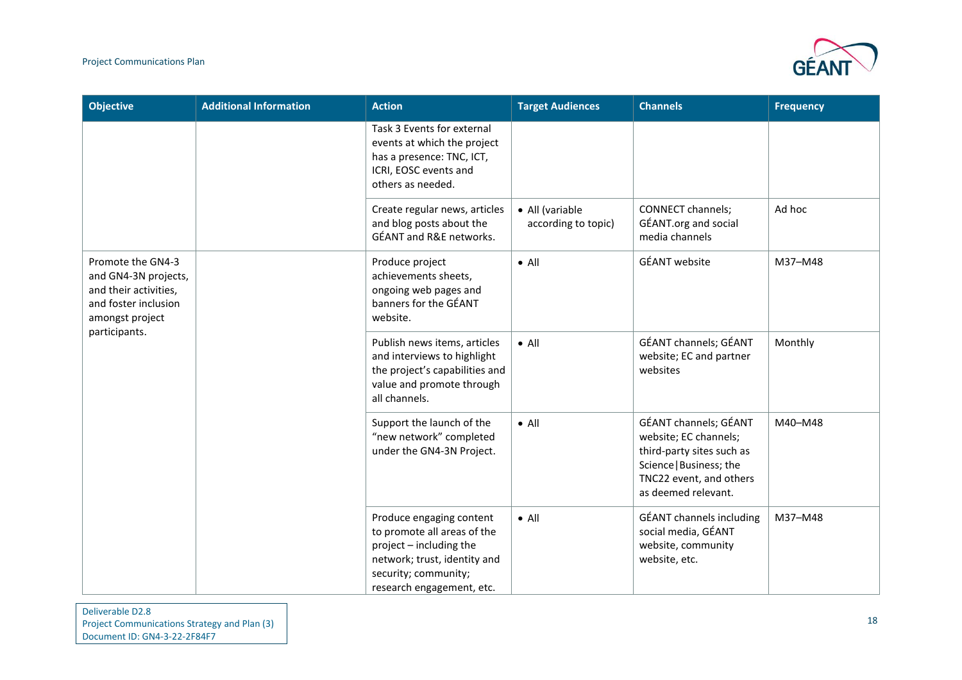#### Project Communications Plan



| <b>Objective</b>                                                                                                               | <b>Additional Information</b> | <b>Action</b>                                                                                                                                                           | <b>Target Audiences</b>                | <b>Channels</b>                                                                                                                                          | <b>Frequency</b> |
|--------------------------------------------------------------------------------------------------------------------------------|-------------------------------|-------------------------------------------------------------------------------------------------------------------------------------------------------------------------|----------------------------------------|----------------------------------------------------------------------------------------------------------------------------------------------------------|------------------|
|                                                                                                                                |                               | Task 3 Events for external<br>events at which the project<br>has a presence: TNC, ICT,<br>ICRI, EOSC events and<br>others as needed.                                    |                                        |                                                                                                                                                          |                  |
|                                                                                                                                |                               | Create regular news, articles<br>and blog posts about the<br>GÉANT and R&E networks.                                                                                    | • All (variable<br>according to topic) | CONNECT channels;<br>GÉANT.org and social<br>media channels                                                                                              | Ad hoc           |
| Promote the GN4-3<br>and GN4-3N projects,<br>and their activities,<br>and foster inclusion<br>amongst project<br>participants. |                               | Produce project<br>achievements sheets,<br>ongoing web pages and<br>banners for the GÉANT<br>website.                                                                   | $\bullet$ All                          | <b>GÉANT</b> website                                                                                                                                     | M37-M48          |
|                                                                                                                                |                               | Publish news items, articles<br>and interviews to highlight<br>the project's capabilities and<br>value and promote through<br>all channels.                             | $\bullet$ All                          | GÉANT channels; GÉANT<br>website; EC and partner<br>websites                                                                                             | Monthly          |
|                                                                                                                                |                               | Support the launch of the<br>"new network" completed<br>under the GN4-3N Project.                                                                                       | $\bullet$ All                          | GÉANT channels; GÉANT<br>website; EC channels;<br>third-party sites such as<br>Science   Business; the<br>TNC22 event, and others<br>as deemed relevant. | M40-M48          |
|                                                                                                                                |                               | Produce engaging content<br>to promote all areas of the<br>project - including the<br>network; trust, identity and<br>security; community;<br>research engagement, etc. | $\bullet$ All                          | <b>GÉANT</b> channels including<br>social media, GÉANT<br>website, community<br>website, etc.                                                            | M37-M48          |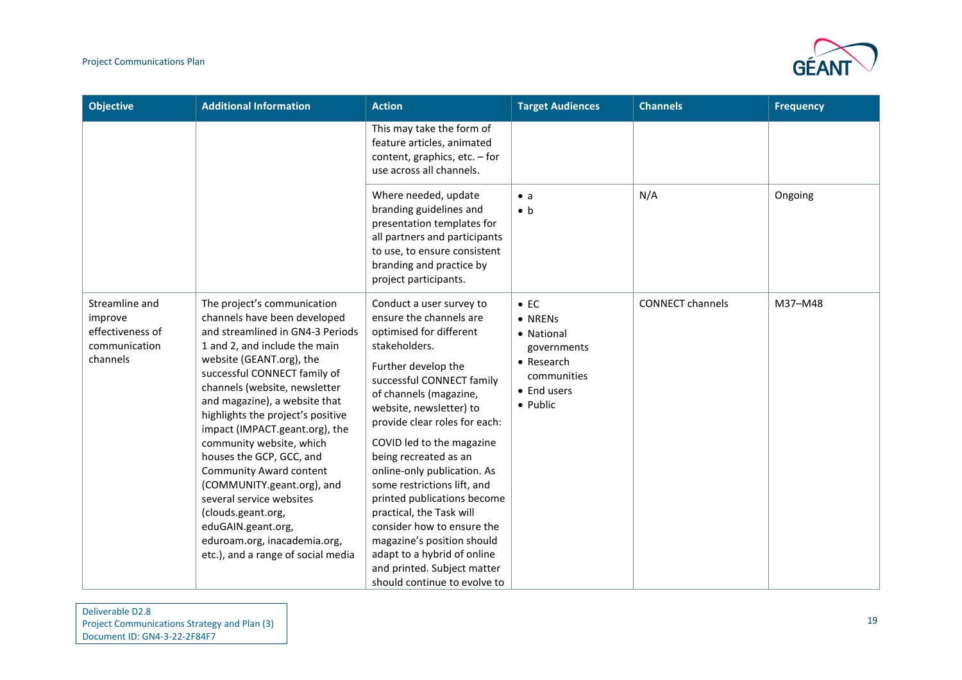

| <b>Objective</b>                                                           | <b>Additional Information</b>                                                                                                                                                                                                                                                                                                                                                                                                                                                                                                                                                                               | <b>Action</b>                                                                                                                                                                                                                                                                                                                                                                                                                                                                                                                                                                      | <b>Target Audiences</b>                                                                                      | <b>Channels</b>         | <b>Frequency</b> |
|----------------------------------------------------------------------------|-------------------------------------------------------------------------------------------------------------------------------------------------------------------------------------------------------------------------------------------------------------------------------------------------------------------------------------------------------------------------------------------------------------------------------------------------------------------------------------------------------------------------------------------------------------------------------------------------------------|------------------------------------------------------------------------------------------------------------------------------------------------------------------------------------------------------------------------------------------------------------------------------------------------------------------------------------------------------------------------------------------------------------------------------------------------------------------------------------------------------------------------------------------------------------------------------------|--------------------------------------------------------------------------------------------------------------|-------------------------|------------------|
|                                                                            |                                                                                                                                                                                                                                                                                                                                                                                                                                                                                                                                                                                                             | This may take the form of<br>feature articles, animated<br>content, graphics, etc. - for<br>use across all channels.                                                                                                                                                                                                                                                                                                                                                                                                                                                               |                                                                                                              |                         |                  |
|                                                                            |                                                                                                                                                                                                                                                                                                                                                                                                                                                                                                                                                                                                             | Where needed, update<br>branding guidelines and<br>presentation templates for<br>all partners and participants<br>to use, to ensure consistent<br>branding and practice by<br>project participants.                                                                                                                                                                                                                                                                                                                                                                                | $\bullet$ a<br>$\bullet$ b                                                                                   | N/A                     | Ongoing          |
| Streamline and<br>improve<br>effectiveness of<br>communication<br>channels | The project's communication<br>channels have been developed<br>and streamlined in GN4-3 Periods<br>1 and 2, and include the main<br>website (GEANT.org), the<br>successful CONNECT family of<br>channels (website, newsletter<br>and magazine), a website that<br>highlights the project's positive<br>impact (IMPACT.geant.org), the<br>community website, which<br>houses the GCP, GCC, and<br><b>Community Award content</b><br>(COMMUNITY.geant.org), and<br>several service websites<br>(clouds.geant.org,<br>eduGAIN.geant.org,<br>eduroam.org, inacademia.org,<br>etc.), and a range of social media | Conduct a user survey to<br>ensure the channels are<br>optimised for different<br>stakeholders.<br>Further develop the<br>successful CONNECT family<br>of channels (magazine,<br>website, newsletter) to<br>provide clear roles for each:<br>COVID led to the magazine<br>being recreated as an<br>online-only publication. As<br>some restrictions lift, and<br>printed publications become<br>practical, the Task will<br>consider how to ensure the<br>magazine's position should<br>adapt to a hybrid of online<br>and printed. Subject matter<br>should continue to evolve to | $\bullet$ EC<br>• NRENs<br>• National<br>governments<br>• Research<br>communities<br>• End users<br>• Public | <b>CONNECT channels</b> | M37-M48          |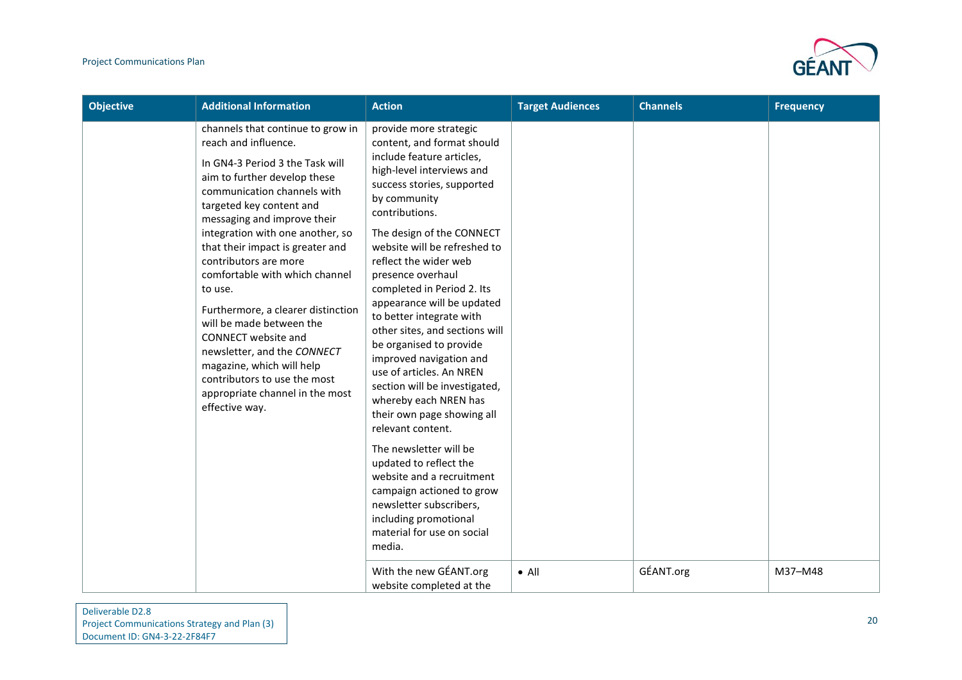

| <b>Objective</b> | <b>Additional Information</b>                                                                                                                                                                                                                                                                                                                                                                                                                                                                                                                                                                                  | <b>Action</b>                                                                                                                                                                                                                                                                                                                                                                                                                                                                                                                                                                                                                                                                                                                                                                                                                | <b>Target Audiences</b> | <b>Channels</b> | <b>Frequency</b> |
|------------------|----------------------------------------------------------------------------------------------------------------------------------------------------------------------------------------------------------------------------------------------------------------------------------------------------------------------------------------------------------------------------------------------------------------------------------------------------------------------------------------------------------------------------------------------------------------------------------------------------------------|------------------------------------------------------------------------------------------------------------------------------------------------------------------------------------------------------------------------------------------------------------------------------------------------------------------------------------------------------------------------------------------------------------------------------------------------------------------------------------------------------------------------------------------------------------------------------------------------------------------------------------------------------------------------------------------------------------------------------------------------------------------------------------------------------------------------------|-------------------------|-----------------|------------------|
|                  | channels that continue to grow in<br>reach and influence.<br>In GN4-3 Period 3 the Task will<br>aim to further develop these<br>communication channels with<br>targeted key content and<br>messaging and improve their<br>integration with one another, so<br>that their impact is greater and<br>contributors are more<br>comfortable with which channel<br>to use.<br>Furthermore, a clearer distinction<br>will be made between the<br>CONNECT website and<br>newsletter, and the CONNECT<br>magazine, which will help<br>contributors to use the most<br>appropriate channel in the most<br>effective way. | provide more strategic<br>content, and format should<br>include feature articles,<br>high-level interviews and<br>success stories, supported<br>by community<br>contributions.<br>The design of the CONNECT<br>website will be refreshed to<br>reflect the wider web<br>presence overhaul<br>completed in Period 2. Its<br>appearance will be updated<br>to better integrate with<br>other sites, and sections will<br>be organised to provide<br>improved navigation and<br>use of articles. An NREN<br>section will be investigated,<br>whereby each NREN has<br>their own page showing all<br>relevant content.<br>The newsletter will be<br>updated to reflect the<br>website and a recruitment<br>campaign actioned to grow<br>newsletter subscribers,<br>including promotional<br>material for use on social<br>media. |                         |                 |                  |
|                  |                                                                                                                                                                                                                                                                                                                                                                                                                                                                                                                                                                                                                | With the new GÉANT.org<br>website completed at the                                                                                                                                                                                                                                                                                                                                                                                                                                                                                                                                                                                                                                                                                                                                                                           | $\bullet$ All           | GÉANT.org       | M37-M48          |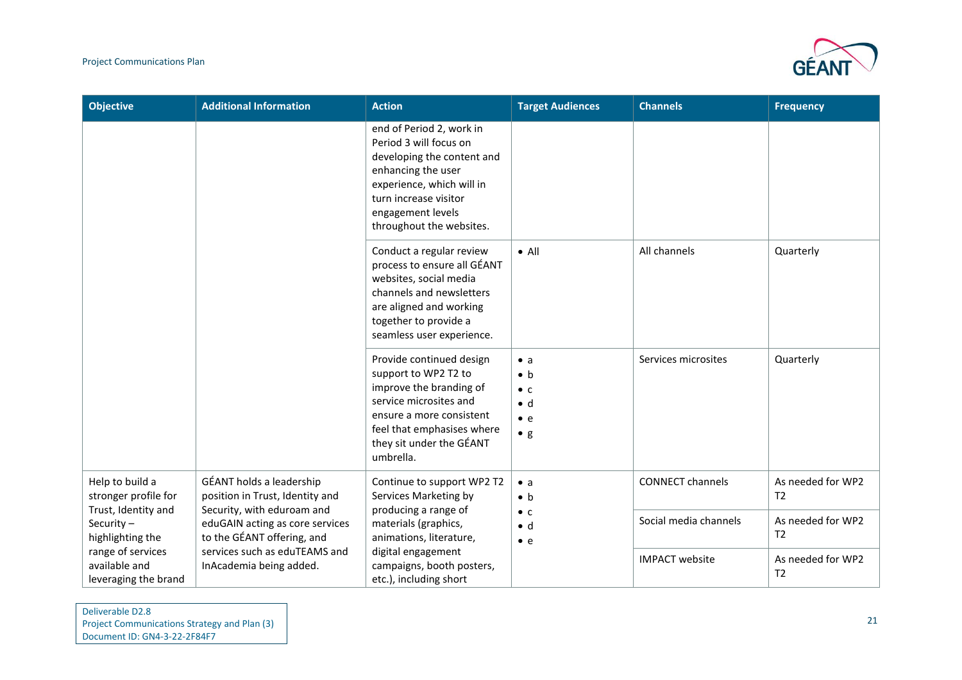

| <b>Objective</b>                                           | <b>Additional Information</b>                                                               | <b>Action</b>                                                                                                                                                                                                 | <b>Target Audiences</b>                                                                | <b>Channels</b>         | <b>Frequency</b>                    |
|------------------------------------------------------------|---------------------------------------------------------------------------------------------|---------------------------------------------------------------------------------------------------------------------------------------------------------------------------------------------------------------|----------------------------------------------------------------------------------------|-------------------------|-------------------------------------|
|                                                            |                                                                                             | end of Period 2, work in<br>Period 3 will focus on<br>developing the content and<br>enhancing the user<br>experience, which will in<br>turn increase visitor<br>engagement levels<br>throughout the websites. |                                                                                        |                         |                                     |
|                                                            |                                                                                             | Conduct a regular review<br>process to ensure all GÉANT<br>websites, social media<br>channels and newsletters<br>are aligned and working<br>together to provide a<br>seamless user experience.                | $\bullet$ All                                                                          | All channels            | Quarterly                           |
|                                                            |                                                                                             | Provide continued design<br>support to WP2 T2 to<br>improve the branding of<br>service microsites and<br>ensure a more consistent<br>feel that emphasises where<br>they sit under the GÉANT<br>umbrella.      | $\bullet$ a<br>$\bullet$ b<br>$\bullet$ C<br>$\bullet$ d<br>$\bullet$ e<br>$\bullet$ g | Services microsites     | Quarterly                           |
| Help to build a<br>stronger profile for                    | GÉANT holds a leadership<br>position in Trust, Identity and                                 | Continue to support WP2 T2<br>Services Marketing by                                                                                                                                                           | $\bullet$ a<br>$\bullet$ b                                                             | <b>CONNECT channels</b> | As needed for WP2<br>T <sub>2</sub> |
| Trust, Identity and<br>Security $-$<br>highlighting the    | Security, with eduroam and<br>eduGAIN acting as core services<br>to the GÉANT offering, and | producing a range of<br>materials (graphics,<br>animations, literature,                                                                                                                                       | $\bullet$ C<br>$\bullet$ d<br>$\bullet$ e                                              | Social media channels   | As needed for WP2<br>T <sub>2</sub> |
| range of services<br>available and<br>leveraging the brand | services such as eduTEAMS and<br>InAcademia being added.                                    | digital engagement<br>campaigns, booth posters,<br>etc.), including short                                                                                                                                     |                                                                                        | <b>IMPACT</b> website   | As needed for WP2<br>T <sub>2</sub> |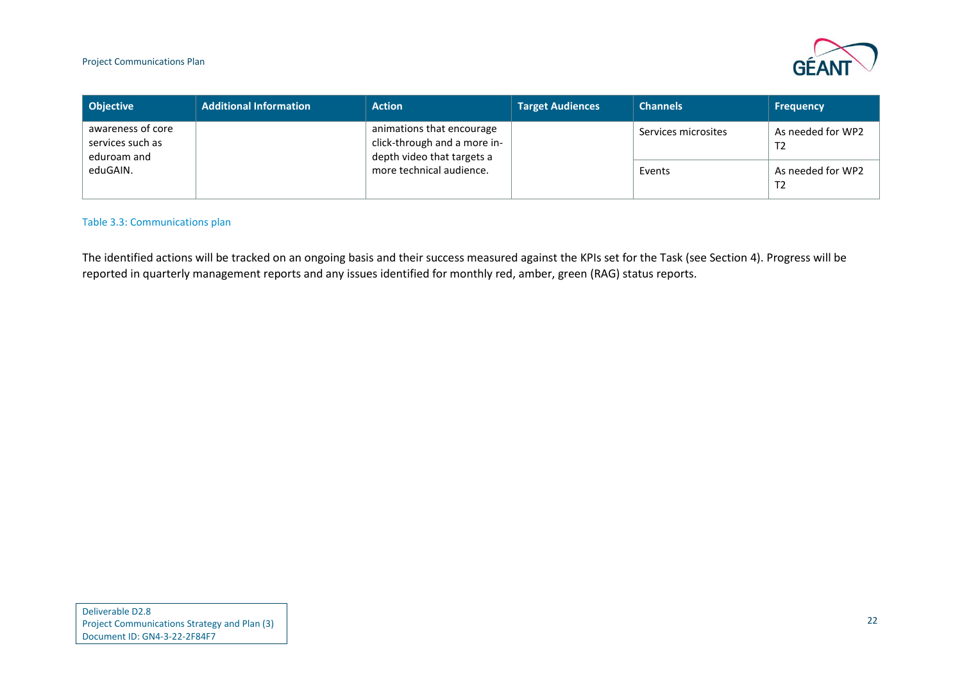

| <b>Objective</b>                                     | <b>Additional Information</b> | <b>Action</b>                                                                                                       | <b>Target Audiences</b> | <b>Channels</b>     | <b>Frequency</b>                    |
|------------------------------------------------------|-------------------------------|---------------------------------------------------------------------------------------------------------------------|-------------------------|---------------------|-------------------------------------|
| awareness of core<br>services such as<br>eduroam and |                               | animations that encourage<br>click-through and a more in-<br>depth video that targets a<br>more technical audience. |                         | Services microsites | As needed for WP2<br>T <sub>2</sub> |
| eduGAIN.                                             |                               |                                                                                                                     |                         | Events              | As needed for WP2<br>T <sub>2</sub> |

#### Table 3.3: Communications plan

<span id="page-23-0"></span>The identified actions will be tracked on an ongoing basis and their success measured against the KPIs set for the Task (see Section [4\)](#page-24-1). Progress will be reported in quarterly management reports and any issues identified for monthly red, amber, green (RAG) status reports.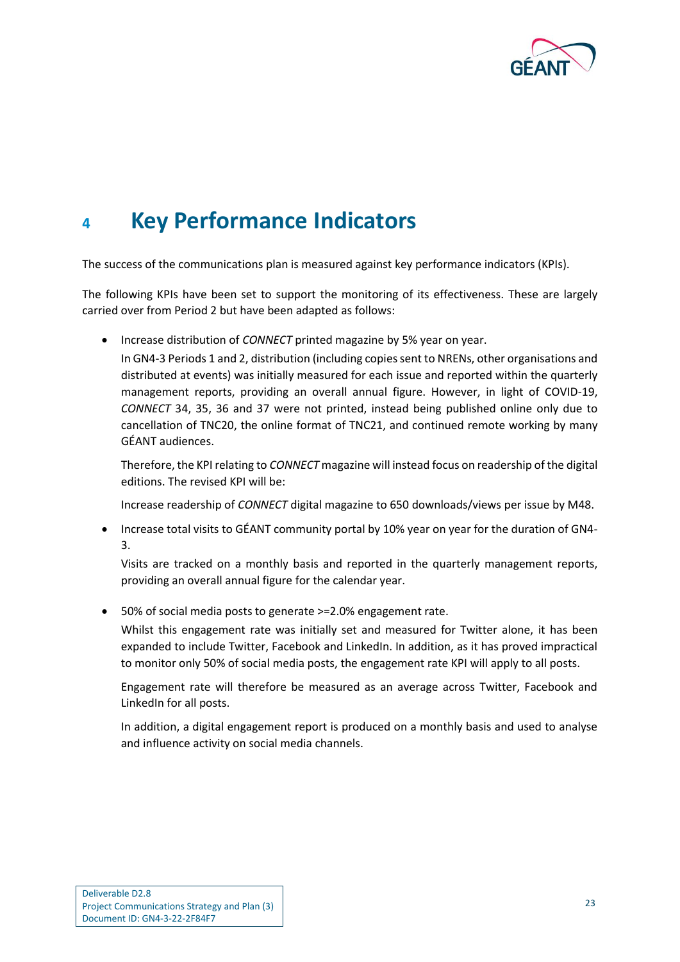

## <span id="page-24-1"></span><span id="page-24-0"></span>**<sup>4</sup> Key Performance Indicators**

The success of the communications plan is measured against key performance indicators (KPIs).

The following KPIs have been set to support the monitoring of its effectiveness. These are largely carried over from Period 2 but have been adapted as follows:

• Increase distribution of *CONNECT* printed magazine by 5% year on year.

In GN4-3 Periods 1 and 2, distribution (including copies sent to NRENs, other organisations and distributed at events) was initially measured for each issue and reported within the quarterly management reports, providing an overall annual figure. However, in light of COVID-19, *CONNECT* 34, 35, 36 and 37 were not printed, instead being published online only due to cancellation of TNC20, the online format of TNC21, and continued remote working by many GÉANT audiences.

Therefore, the KPI relating to *CONNECT* magazine will instead focus on readership of the digital editions. The revised KPI will be:

Increase readership of *CONNECT* digital magazine to 650 downloads/views per issue by M48.

• Increase total visits to GÉANT community portal by 10% year on year for the duration of GN4- 3.

Visits are tracked on a monthly basis and reported in the quarterly management reports, providing an overall annual figure for the calendar year.

• 50% of social media posts to generate >=2.0% engagement rate.

Whilst this engagement rate was initially set and measured for Twitter alone, it has been expanded to include Twitter, Facebook and LinkedIn. In addition, as it has proved impractical to monitor only 50% of social media posts, the engagement rate KPI will apply to all posts.

Engagement rate will therefore be measured as an average across Twitter, Facebook and LinkedIn for all posts.

In addition, a digital engagement report is produced on a monthly basis and used to analyse and influence activity on social media channels.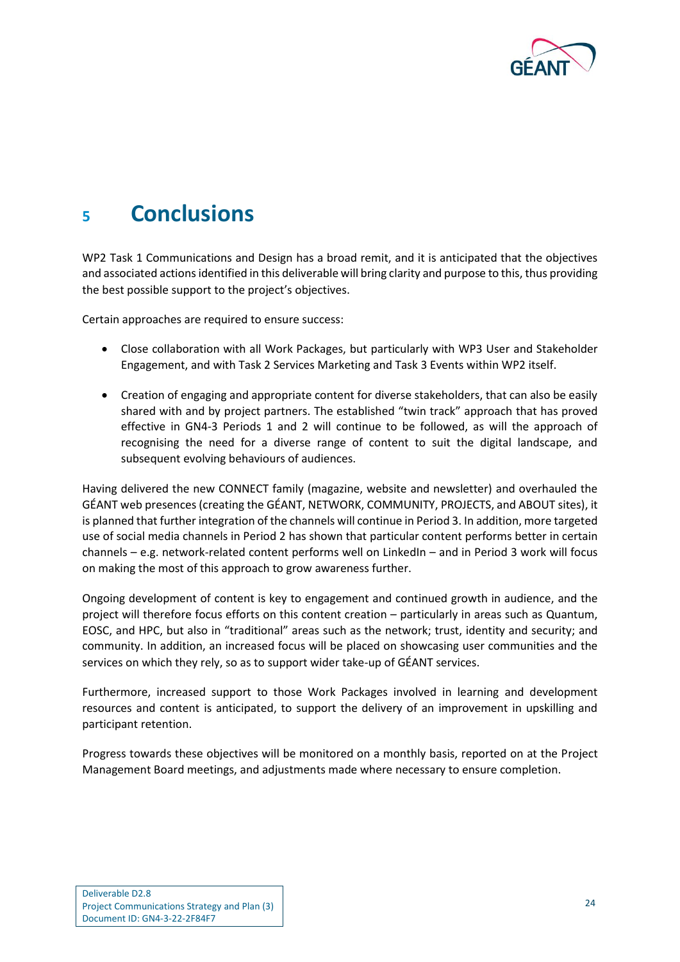

### <span id="page-25-0"></span>**<sup>5</sup> Conclusions**

WP2 Task 1 Communications and Design has a broad remit, and it is anticipated that the objectives and associated actions identified in this deliverable will bring clarity and purpose to this, thus providing the best possible support to the project's objectives.

Certain approaches are required to ensure success:

- Close collaboration with all Work Packages, but particularly with WP3 User and Stakeholder Engagement, and with Task 2 Services Marketing and Task 3 Events within WP2 itself.
- Creation of engaging and appropriate content for diverse stakeholders, that can also be easily shared with and by project partners. The established "twin track" approach that has proved effective in GN4-3 Periods 1 and 2 will continue to be followed, as will the approach of recognising the need for a diverse range of content to suit the digital landscape, and subsequent evolving behaviours of audiences.

Having delivered the new CONNECT family (magazine, website and newsletter) and overhauled the GÉANT web presences (creating the GÉANT, NETWORK, COMMUNITY, PROJECTS, and ABOUT sites), it is planned that further integration of the channels will continue in Period 3. In addition, more targeted use of social media channels in Period 2 has shown that particular content performs better in certain channels – e.g. network-related content performs well on LinkedIn – and in Period 3 work will focus on making the most of this approach to grow awareness further.

Ongoing development of content is key to engagement and continued growth in audience, and the project will therefore focus efforts on this content creation – particularly in areas such as Quantum, EOSC, and HPC, but also in "traditional" areas such as the network; trust, identity and security; and community. In addition, an increased focus will be placed on showcasing user communities and the services on which they rely, so as to support wider take-up of GÉANT services.

Furthermore, increased support to those Work Packages involved in learning and development resources and content is anticipated, to support the delivery of an improvement in upskilling and participant retention.

Progress towards these objectives will be monitored on a monthly basis, reported on at the Project Management Board meetings, and adjustments made where necessary to ensure completion.